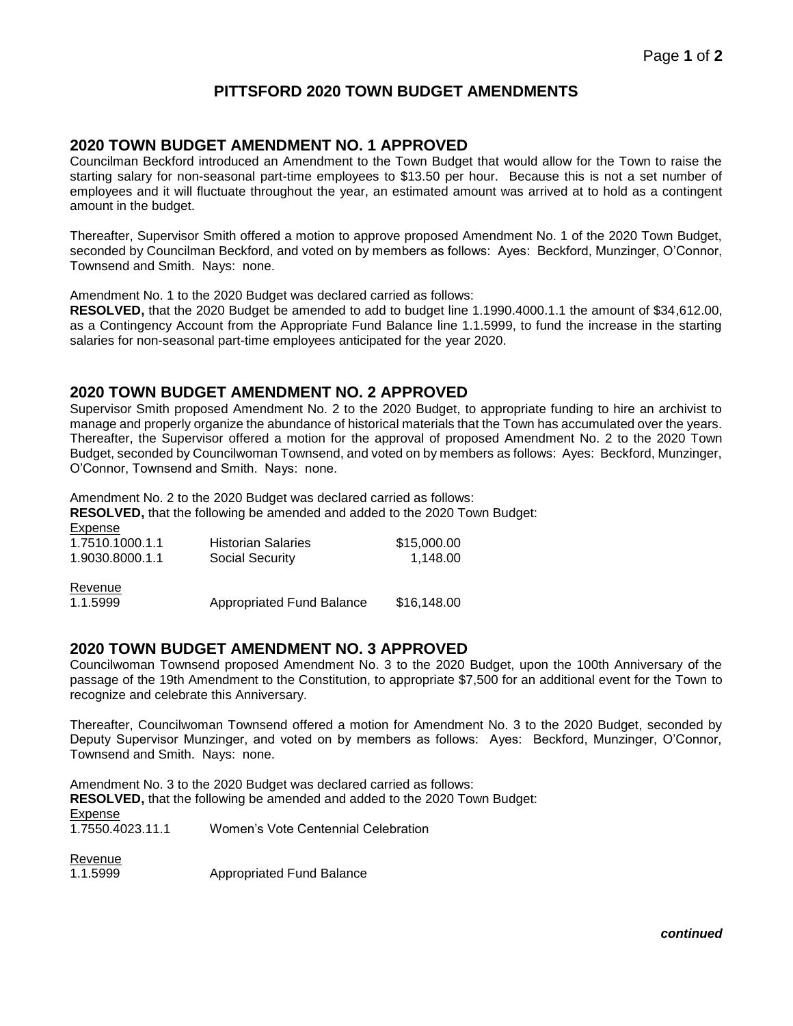# **PITTSFORD 2020 TOWN BUDGET AMENDMENTS**

### **2020 TOWN BUDGET AMENDMENT NO. 1 APPROVED**

Councilman Beckford introduced an Amendment to the Town Budget that would allow for the Town to raise the starting salary for non-seasonal part-time employees to \$13.50 per hour. Because this is not a set number of employees and it will fluctuate throughout the year, an estimated amount was arrived at to hold as a contingent amount in the budget.

Thereafter, Supervisor Smith offered a motion to approve proposed Amendment No. 1 of the 2020 Town Budget, seconded by Councilman Beckford, and voted on by members as follows: Ayes: Beckford, Munzinger, O'Connor, Townsend and Smith. Nays: none.

Amendment No. 1 to the 2020 Budget was declared carried as follows:

**RESOLVED,** that the 2020 Budget be amended to add to budget line 1.1990.4000.1.1 the amount of \$34,612.00, as a Contingency Account from the Appropriate Fund Balance line 1.1.5999, to fund the increase in the starting salaries for non-seasonal part-time employees anticipated for the year 2020.

#### **2020 TOWN BUDGET AMENDMENT NO. 2 APPROVED**

Supervisor Smith proposed Amendment No. 2 to the 2020 Budget, to appropriate funding to hire an archivist to manage and properly organize the abundance of historical materials that the Town has accumulated over the years. Thereafter, the Supervisor offered a motion for the approval of proposed Amendment No. 2 to the 2020 Town Budget, seconded by Councilwoman Townsend, and voted on by members as follows: Ayes: Beckford, Munzinger, O'Connor, Townsend and Smith. Nays: none.

Amendment No. 2 to the 2020 Budget was declared carried as follows:

**RESOLVED,** that the following be amended and added to the 2020 Town Budget: Expense

| Experise<br>1.7510.1000.1.1<br>1.9030.8000.1.1 | <b>Historian Salaries</b><br><b>Social Security</b> | \$15,000.00<br>1.148.00 |
|------------------------------------------------|-----------------------------------------------------|-------------------------|
| Revenue<br>1.1.5999                            | <b>Appropriated Fund Balance</b>                    | \$16,148.00             |

### **2020 TOWN BUDGET AMENDMENT NO. 3 APPROVED**

Councilwoman Townsend proposed Amendment No. 3 to the 2020 Budget, upon the 100th Anniversary of the passage of the 19th Amendment to the Constitution, to appropriate \$7,500 for an additional event for the Town to recognize and celebrate this Anniversary.

Thereafter, Councilwoman Townsend offered a motion for Amendment No. 3 to the 2020 Budget, seconded by Deputy Supervisor Munzinger, and voted on by members as follows: Ayes: Beckford, Munzinger, O'Connor, Townsend and Smith. Nays: none.

Amendment No. 3 to the 2020 Budget was declared carried as follows: **RESOLVED,** that the following be amended and added to the 2020 Town Budget: Expense<br>1.7550.4023.11.1 Women's Vote Centennial Celebration

Revenue

1.1.5999 Appropriated Fund Balance